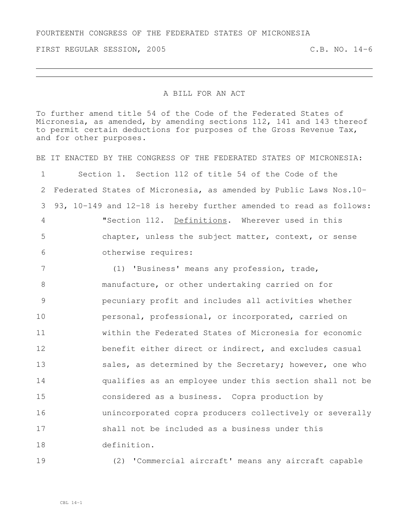FIRST REGULAR SESSION, 2005 C.B. NO. 14-6

## A BILL FOR AN ACT

To further amend title 54 of the Code of the Federated States of Micronesia, as amended, by amending sections 112, 141 and 143 thereof to permit certain deductions for purposes of the Gross Revenue Tax, and for other purposes.

BE IT ENACTED BY THE CONGRESS OF THE FEDERATED STATES OF MICRONESIA: Section 1. Section 112 of title 54 of the Code of the Federated States of Micronesia, as amended by Public Laws Nos.10- 93, 10-149 and 12-18 is hereby further amended to read as follows: "Section 112. Definitions. Wherever used in this chapter, unless the subject matter, context, or sense otherwise requires: (1) 'Business' means any profession, trade, manufacture, or other undertaking carried on for pecuniary profit and includes all activities whether personal, professional, or incorporated, carried on within the Federated States of Micronesia for economic benefit either direct or indirect, and excludes casual

13 sales, as determined by the Secretary; however, one who qualifies as an employee under this section shall not be considered as a business. Copra production by unincorporated copra producers collectively or severally shall not be included as a business under this definition.

(2) 'Commercial aircraft' means any aircraft capable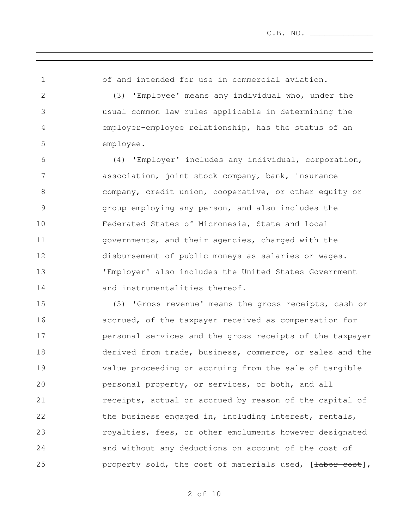of and intended for use in commercial aviation.

 (3) 'Employee' means any individual who, under the usual common law rules applicable in determining the employer-employee relationship, has the status of an employee.

 (4) 'Employer' includes any individual, corporation, association, joint stock company, bank, insurance company, credit union, cooperative, or other equity or group employing any person, and also includes the Federated States of Micronesia, State and local governments, and their agencies, charged with the disbursement of public moneys as salaries or wages. 'Employer' also includes the United States Government 14 and instrumentalities thereof.

 (5) 'Gross revenue' means the gross receipts, cash or accrued, of the taxpayer received as compensation for personal services and the gross receipts of the taxpayer derived from trade, business, commerce, or sales and the value proceeding or accruing from the sale of tangible personal property, or services, or both, and all receipts, actual or accrued by reason of the capital of 22 the business engaged in, including interest, rentals, **royalties, fees, or other emoluments however designated**  and without any deductions on account of the cost of 25 property sold, the cost of materials used, [labor cost],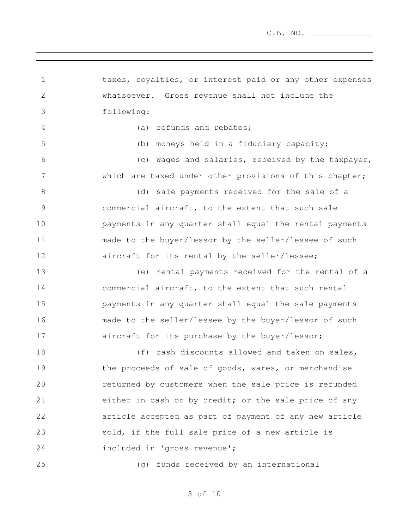taxes, royalties, or interest paid or any other expenses whatsoever. Gross revenue shall not include the following: (a) refunds and rebates; (b) moneys held in a fiduciary capacity; (c) wages and salaries, received by the taxpayer, 7 which are taxed under other provisions of this chapter; 8 (d) sale payments received for the sale of a commercial aircraft, to the extent that such sale payments in any quarter shall equal the rental payments made to the buyer/lessor by the seller/lessee of such aircraft for its rental by the seller/lessee; (e) rental payments received for the rental of a commercial aircraft, to the extent that such rental payments in any quarter shall equal the sale payments made to the seller/lessee by the buyer/lessor of such 17 aircraft for its purchase by the buyer/lessor; 18 (f) cash discounts allowed and taken on sales, 19 the proceeds of sale of goods, wares, or merchandise returned by customers when the sale price is refunded either in cash or by credit; or the sale price of any article accepted as part of payment of any new article sold, if the full sale price of a new article is included in 'gross revenue'; (g) funds received by an international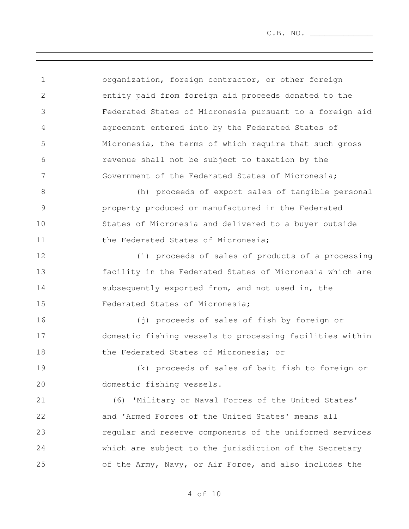C.B. NO. \_\_\_\_\_\_\_\_\_\_\_\_\_

| $\mathbf 1$   | organization, foreign contractor, or other foreign       |
|---------------|----------------------------------------------------------|
| $\mathbf{2}$  | entity paid from foreign aid proceeds donated to the     |
| 3             | Federated States of Micronesia pursuant to a foreign aid |
| 4             | agreement entered into by the Federated States of        |
| 5             | Micronesia, the terms of which require that such gross   |
| 6             | revenue shall not be subject to taxation by the          |
| 7             | Government of the Federated States of Micronesia;        |
| 8             | (h) proceeds of export sales of tangible personal        |
| $\mathcal{G}$ | property produced or manufactured in the Federated       |
| 10            | States of Micronesia and delivered to a buyer outside    |
| 11            | the Federated States of Micronesia;                      |
| 12            | (i) proceeds of sales of products of a processing        |
| 13            | facility in the Federated States of Micronesia which are |
| 14            | subsequently exported from, and not used in, the         |
| 15            | Federated States of Micronesia;                          |
| 16            | (j) proceeds of sales of fish by foreign or              |
| 17            | domestic fishing vessels to processing facilities within |
| 18            | the Federated States of Micronesia; or                   |
| 19            | (k) proceeds of sales of bait fish to foreign or         |
| 20            | domestic fishing vessels.                                |
| 21            | (6) 'Military or Naval Forces of the United States'      |
| 22            | and 'Armed Forces of the United States' means all        |
| 23            | regular and reserve components of the uniformed services |
| 24            | which are subject to the jurisdiction of the Secretary   |
| 25            | of the Army, Navy, or Air Force, and also includes the   |
|               |                                                          |

,我们也不会有什么。""我们的人,我们也不会有什么?""我们的人,我们也不会有什么?""我们的人,我们也不会有什么?""我们的人,我们也不会有什么?""我们的人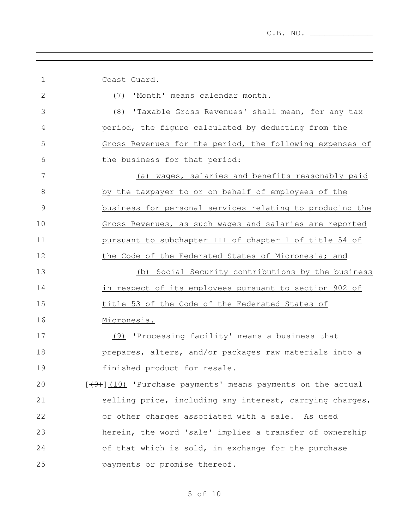the control of the control of the control of the control of the control of the control of the control of the control of the control of the control of the control of the control of the control of the control of the control

| 1            | Coast Guard.                                               |
|--------------|------------------------------------------------------------|
| $\mathbf{2}$ | 'Month' means calendar month.<br>(7)                       |
| 3            | (8) Taxable Gross Revenues' shall mean, for any tax        |
| 4            | period, the figure calculated by deducting from the        |
| 5            | Gross Revenues for the period, the following expenses of   |
| 6            | the business for that period:                              |
| 7            | (a) wages, salaries and benefits reasonably paid           |
| 8            | by the taxpayer to or on behalf of employees of the        |
| 9            | business for personal services relating to producing the   |
| 10           | Gross Revenues, as such wages and salaries are reported    |
| 11           | pursuant to subchapter III of chapter 1 of title 54 of     |
| 12           | the Code of the Federated States of Micronesia; and        |
| 13           | (b) Social Security contributions by the business          |
| 14           | in respect of its employees pursuant to section 902 of     |
| 15           | title 53 of the Code of the Federated States of            |
| 16           | Micronesia.                                                |
| 17           | (9) 'Processing facility' means a business that            |
| 18           | prepares, alters, and/or packages raw materials into a     |
| 19           | finished product for resale.                               |
| 20           | [(9) [10] 'Purchase payments' means payments on the actual |
| 21           | selling price, including any interest, carrying charges,   |
| 22           | or other charges associated with a sale. As used           |
| 23           | herein, the word 'sale' implies a transfer of ownership    |
| 24           | of that which is sold, in exchange for the purchase        |
| 25           | payments or promise thereof.                               |

and the control of the control of the control of the control of the control of the control of the control of the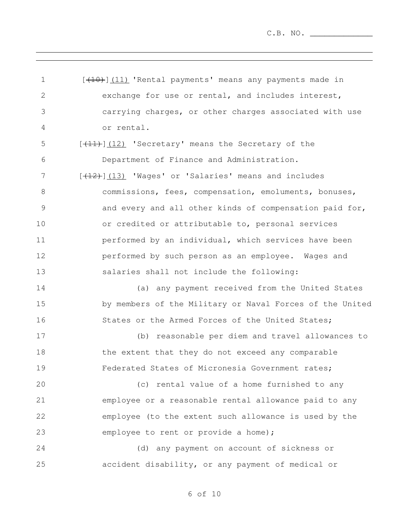1 [<del>(10)</del>](11) 'Rental payments' means any payments made in exchange for use or rental, and includes interest, carrying charges, or other charges associated with use or rental. 5 [<del>(11)</del>](12) 'Secretary' means the Secretary of the Department of Finance and Administration. 7 [<del>(12)</del>](13) 'Wages' or 'Salaries' means and includes commissions, fees, compensation, emoluments, bonuses, and every and all other kinds of compensation paid for, or credited or attributable to, personal services performed by an individual, which services have been performed by such person as an employee. Wages and salaries shall not include the following: (a) any payment received from the United States by members of the Military or Naval Forces of the United 16 States or the Armed Forces of the United States; (b) reasonable per diem and travel allowances to 18 the extent that they do not exceed any comparable Federated States of Micronesia Government rates; (c) rental value of a home furnished to any employee or a reasonable rental allowance paid to any employee (to the extent such allowance is used by the employee to rent or provide a home); (d) any payment on account of sickness or accident disability, or any payment of medical or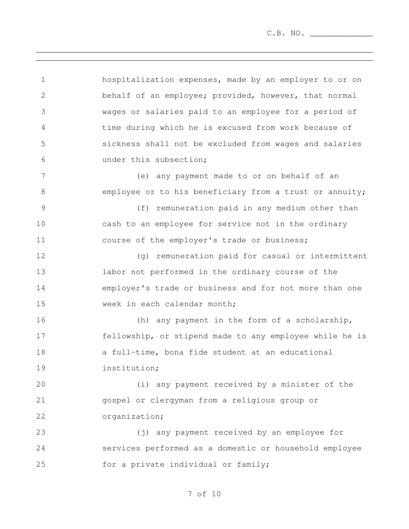C.B. NO. \_\_\_\_\_\_\_\_\_\_\_\_\_

 hospitalization expenses, made by an employer to or on behalf of an employee; provided, however, that normal wages or salaries paid to an employee for a period of time during which he is excused from work because of sickness shall not be excluded from wages and salaries under this subsection; (e) any payment made to or on behalf of an 8 employee or to his beneficiary from a trust or annuity; (f) remuneration paid in any medium other than cash to an employee for service not in the ordinary course of the employer's trade or business; (g) remuneration paid for casual or intermittent labor not performed in the ordinary course of the employer's trade or business and for not more than one 15 week in each calendar month; (h) any payment in the form of a scholarship, fellowship, or stipend made to any employee while he is a full-time, bona fide student at an educational institution; (i) any payment received by a minister of the gospel or clergyman from a religious group or organization; (j) any payment received by an employee for services performed as a domestic or household employee 25 for a private individual or family;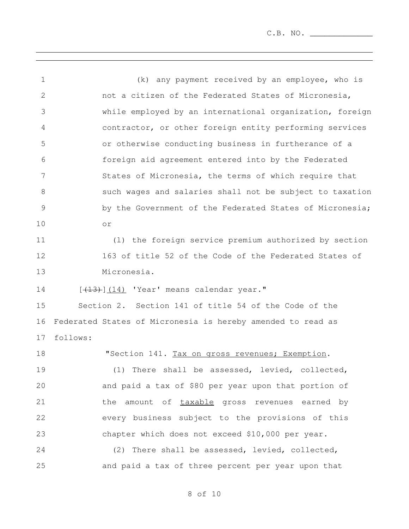(k) any payment received by an employee, who is not a citizen of the Federated States of Micronesia, while employed by an international organization, foreign contractor, or other foreign entity performing services or otherwise conducting business in furtherance of a foreign aid agreement entered into by the Federated States of Micronesia, the terms of which require that such wages and salaries shall not be subject to taxation by the Government of the Federated States of Micronesia; or (l) the foreign service premium authorized by section 163 of title 52 of the Code of the Federated States of Micronesia. [ $(13)$ ] $(14)$  'Year' means calendar year." Section 2. Section 141 of title 54 of the Code of the Federated States of Micronesia is hereby amended to read as follows: 18 TSection 141. Tax on gross revenues; Exemption. (1) There shall be assessed, levied, collected, and paid a tax of \$80 per year upon that portion of 21 the amount of taxable gross revenues earned by every business subject to the provisions of this chapter which does not exceed \$10,000 per year. (2) There shall be assessed, levied, collected, and paid a tax of three percent per year upon that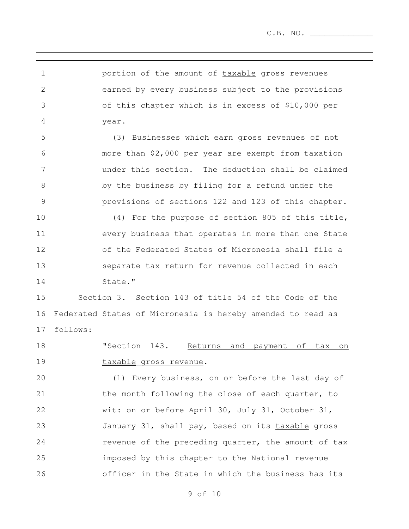C.B. NO. \_\_\_\_\_\_\_\_\_\_\_\_\_

**portion of the amount of taxable gross revenues**  earned by every business subject to the provisions of this chapter which is in excess of \$10,000 per year.

 (3) Businesses which earn gross revenues of not more than \$2,000 per year are exempt from taxation under this section. The deduction shall be claimed by the business by filing for a refund under the provisions of sections 122 and 123 of this chapter.

 (4) For the purpose of section 805 of this title, every business that operates in more than one State of the Federated States of Micronesia shall file a separate tax return for revenue collected in each 14 State."

 Section 3. Section 143 of title 54 of the Code of the Federated States of Micronesia is hereby amended to read as follows:

 "Section 143. Returns and payment of tax on 19 taxable gross revenue.

 (1) Every business, on or before the last day of the month following the close of each quarter, to wit: on or before April 30, July 31, October 31, 23 January 31, shall pay, based on its taxable gross **revenue of the preceding quarter, the amount of tax**  imposed by this chapter to the National revenue officer in the State in which the business has its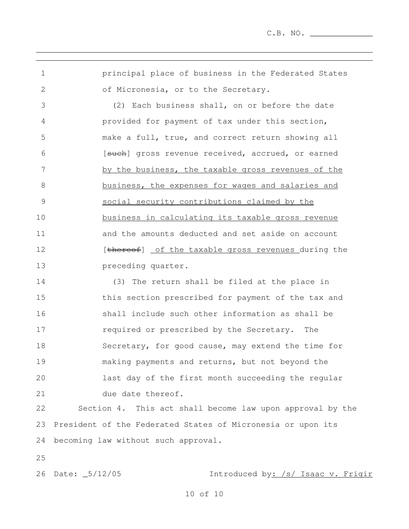principal place of business in the Federated States of Micronesia, or to the Secretary.

 (2) Each business shall, on or before the date provided for payment of tax under this section, make a full, true, and correct return showing all 6 [such] gross revenue received, accrued, or earned 7 by the business, the taxable gross revenues of the business, the expenses for wages and salaries and social security contributions claimed by the business in calculating its taxable gross revenue and the amounts deducted and set aside on account 12 [thereof] of the taxable gross revenues during the preceding quarter.

 (3) The return shall be filed at the place in this section prescribed for payment of the tax and shall include such other information as shall be required or prescribed by the Secretary. The Secretary, for good cause, may extend the time for making payments and returns, but not beyond the last day of the first month succeeding the regular 21 due date thereof.

 Section 4. This act shall become law upon approval by the President of the Federated States of Micronesia or upon its becoming law without such approval.

26 Date: \_5/12/05 1ntroduced by: /s/ Isaac v. Frigir